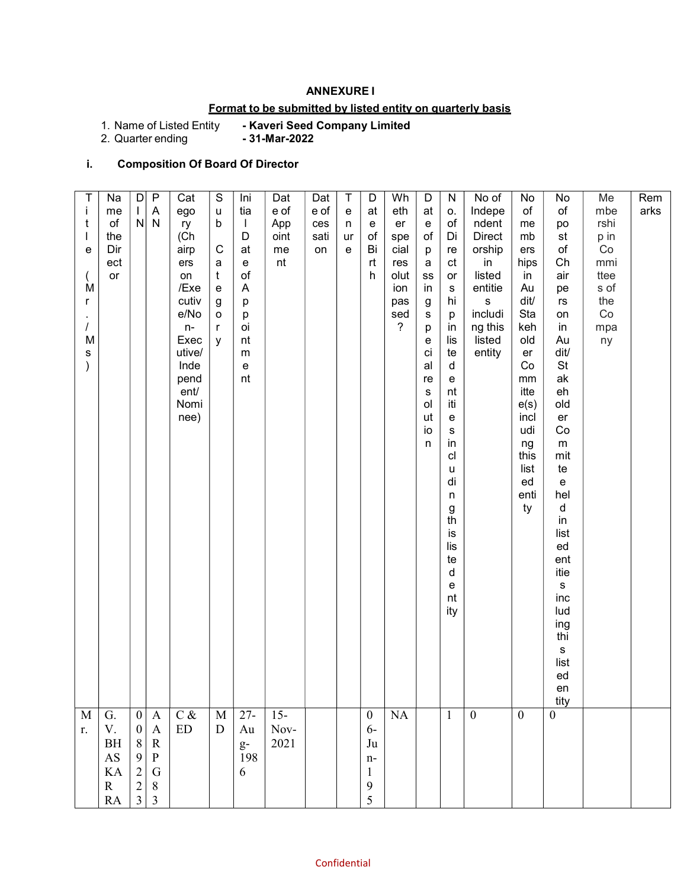### ANNEXURE I

## Format to be submitted by listed entity on quarterly basis

- Kaveri Seed Company Limited<br>- 31-Mar-2022

1. Name of Listed Entity<br>2. Quarter ending

## i. Composition Of Board Of Director

| Rem<br>arks                                                                                                                                                                                                                                                                                                                                    |                                                                                                  |
|------------------------------------------------------------------------------------------------------------------------------------------------------------------------------------------------------------------------------------------------------------------------------------------------------------------------------------------------|--------------------------------------------------------------------------------------------------|
| Me<br>mbe<br>rshi<br>p in<br>$\rm{Co}$<br>mmi<br>ttee<br>s of<br>the<br>$\rm Co$<br>mpa<br>ny                                                                                                                                                                                                                                                  |                                                                                                  |
| No<br>of<br>po<br>st<br>$\circ f$<br>Ch<br>air<br>pe<br>rs<br>on<br>in<br>Au<br>dit/<br>$\mathsf{St}$<br>ak<br>eh<br>old<br>er<br>Co<br>${\sf m}$<br>mit<br>te<br>$\mathbf{e}% _{t}\left  \mathbf{1}\right\rangle$<br>hel<br>d<br>$\mathsf{in}$<br>list<br>ed<br>ent<br>itie<br>s<br>inc<br>lud<br>ing<br>thi<br>s<br>list<br>ed<br>en<br>tity | $\boldsymbol{0}$                                                                                 |
| No<br>of<br>me<br>mb<br>ers<br>hips<br>in<br>Au<br>dit/<br>Sta<br>keh<br>old<br>er<br>Co<br>mm<br>itte<br>e(s)<br>incl<br>udi<br>ng<br>this<br>list<br>ed<br>enti<br>ty                                                                                                                                                                        | $\overline{0}$                                                                                   |
| No of<br>Indepe<br>ndent<br>Direct<br>orship<br>in<br>listed<br>entitie<br>$\mathbf S$<br>includi<br>ng this<br>listed<br>entity                                                                                                                                                                                                               | $\mathbf{0}$                                                                                     |
| ${\sf N}$<br>0.<br>of<br>Di<br>re<br>$\mathsf{ct}$<br>or<br>${\sf s}$<br>hi<br>p<br>in<br>lis<br>te<br>d<br>e<br>nt<br>iti<br>e<br>${\bf s}$<br>in<br>cl<br>u<br>di<br>n<br>$\boldsymbol{g}$<br>th<br>İS<br>lis<br>te<br>d<br>e<br>nt<br>ity                                                                                                   | $\mathbf{1}$                                                                                     |
| D<br>at<br>${\bf e}$<br>of<br>p<br>a<br>${\tt ss}$<br>in<br>g<br>s<br>р<br>е<br>ci<br>al<br>re<br>${\tt S}$<br>ol<br>ut<br>io<br>n                                                                                                                                                                                                             |                                                                                                  |
| Wh<br>eth<br>er<br>spe<br>cial<br>res<br>olut<br>ion<br>pas<br>sed<br>$\overline{\phantom{a}}$                                                                                                                                                                                                                                                 | NA                                                                                               |
| D<br>at<br>${\bf e}$<br>$\mathsf{of}$<br>Bi<br>rt<br>h                                                                                                                                                                                                                                                                                         | $\boldsymbol{0}$<br>$6-$<br>Ju<br>$n-$<br>$\mathbf{1}$<br>9<br>5                                 |
| Τ<br>$\mathbf{e}% _{t}\left( t\right)$<br>n<br>ur<br>e                                                                                                                                                                                                                                                                                         |                                                                                                  |
| Dat<br>e of<br>ces<br>sati<br>on                                                                                                                                                                                                                                                                                                               |                                                                                                  |
| Dat<br>e of<br>App<br>oint<br>me<br>nt                                                                                                                                                                                                                                                                                                         | $15 -$<br>Nov-<br>2021                                                                           |
| Ini<br>tia<br>$\mathbf{I}$<br>D<br>at<br>е<br>$\circ f$<br>A<br>р<br>р<br>oi<br>nt<br>${\sf m}$<br>e<br>nt                                                                                                                                                                                                                                     | $27 -$<br>Au<br>$\mathbf{g}\text{-}$<br>198<br>6                                                 |
| ${\mathbb S}$<br>u<br>b<br>С<br>a<br>$\mathfrak{t}$<br>e<br>g<br>o<br>$\mathsf{r}$<br>y                                                                                                                                                                                                                                                        | $\mathbf M$<br>$\mathbf D$                                                                       |
| Cat<br>ego<br>ry<br>(Ch<br>airp<br>ers<br>on<br>/Exe<br>cutiv<br>e/No<br>$n-$<br>Exec<br>utive/<br>Inde<br>pend<br>ent/<br>Nomi<br>nee)                                                                                                                                                                                                        | $\mathrm{C} \, \&$<br>${\rm ED}$                                                                 |
| $\overline{P}$<br>A<br>$N$ $N$                                                                                                                                                                                                                                                                                                                 | $\mathbf{A}$<br>$\mathbf{A}$<br>${\bf R}$<br>${\bf P}$<br>${\bf G}$<br>$\,8\,$<br>$\mathfrak{Z}$ |
| $\vert D \vert$                                                                                                                                                                                                                                                                                                                                | $\boldsymbol{0}$<br>$\boldsymbol{0}$<br>$8\,$<br>9<br>$\begin{array}{c} 2 \\ 2 \\ 3 \end{array}$ |
| Na<br>me<br>of<br>the<br>Dir<br>ect<br>or                                                                                                                                                                                                                                                                                                      | G.<br>$\mathbf V.$<br>$\rm BH$<br>AS<br>KA<br>${\bf R}$<br><b>RA</b>                             |
| T<br>$\mathbf i$<br>$\mathsf{t}$<br>$\mathbf{I}$<br>e<br>$\left($<br>M<br>$\mathsf{r}$<br>$\sim$<br>$\overline{1}$<br>M<br>${\bf s}$<br>$\mathcal{E}$                                                                                                                                                                                          | $\mathbf M$<br>r.                                                                                |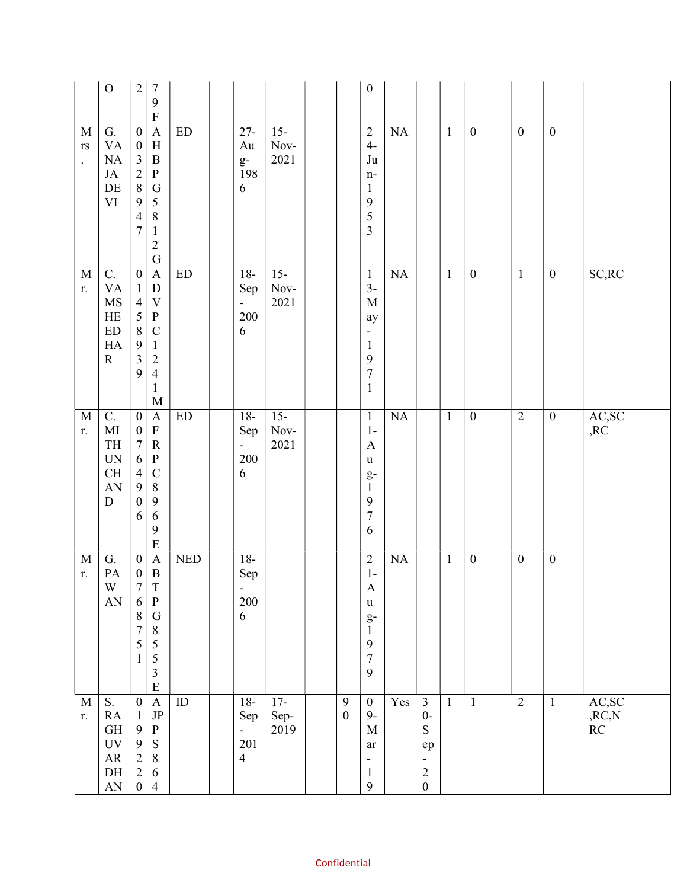|                                                               | ${\mathcal O}$                                                                                                                  | $\sqrt{2}$<br>$\sqrt{ }$<br>9<br>$\mathbf F$                                                                                                                                                                                                                                                                        |                            |                                                                    |                             |                                      | $\boldsymbol{0}$                                                                                                       |                  |                                                                                                                    |                |                  |                  |                  |                                                             |  |
|---------------------------------------------------------------|---------------------------------------------------------------------------------------------------------------------------------|---------------------------------------------------------------------------------------------------------------------------------------------------------------------------------------------------------------------------------------------------------------------------------------------------------------------|----------------------------|--------------------------------------------------------------------|-----------------------------|--------------------------------------|------------------------------------------------------------------------------------------------------------------------|------------------|--------------------------------------------------------------------------------------------------------------------|----------------|------------------|------------------|------------------|-------------------------------------------------------------|--|
| $\mathbf M$<br>$\mathbf{r}\mathbf{s}$<br>$\ddot{\phantom{a}}$ | G.<br><b>VA</b><br>NA<br>$\rm JA$<br>$\rm DE$<br>$\mbox{VI}$                                                                    | $\boldsymbol{0}$<br>$\mathbf{A}$<br>$\boldsymbol{\mathrm{H}}$<br>$\boldsymbol{0}$<br>$\mathfrak{Z}$<br>$\, {\bf B}$<br>$\begin{array}{c} 2 \\ 8 \end{array}$<br>${\bf P}$<br>$\mathbf G$<br>9<br>5<br>$\,$ $\,$<br>$\overline{\mathcal{A}}$<br>$\boldsymbol{7}$<br>$\mathbf{1}$<br>$\overline{c}$<br>$\overline{G}$ | $\mathop{\rm ED}\nolimits$ | $27 -$<br>Au<br>$\mathbf{g}\text{-}$<br>198<br>6                   | $15 -$<br>Nov-<br>2021      |                                      | $\overline{2}$<br>$4-$<br>Ju<br>$n-$<br>$\mathbf{1}$<br>9<br>5<br>3                                                    | NA               |                                                                                                                    | $\overline{1}$ | $\boldsymbol{0}$ | $\boldsymbol{0}$ | $\boldsymbol{0}$ |                                                             |  |
| $\mathbf M$<br>r.                                             | C.<br>$\mathbf{V}\mathbf{A}$<br>$\rm MS$<br>HE<br>${\rm ED}$<br>HA<br>${\bf R}$                                                 | $\boldsymbol{0}$<br>$\mathbf{A}$<br>${\rm D}$<br>$\mathbf{1}$<br>$\overline{4}$<br>$\mathbf V$<br>$\overline{5}$<br>$\, {\bf P}$<br>8<br>$\mathsf{C}$<br>9<br>$\mathbf{1}$<br>$\overline{\mathbf{3}}$<br>$\overline{c}$<br>9<br>$\overline{4}$<br>$\mathbf 1$<br>$\mathbf{M}$                                       | $\mathop{\rm ED}\nolimits$ | $18-$<br>Sep<br>$\overline{\phantom{0}}$<br>200<br>6               | $15-$<br>$\,$ Nov-<br>2021  |                                      | $\mathbf{1}$<br>$3-$<br>$\mathbf M$<br>ay<br>$\blacksquare$<br>$\mathbf{1}$<br>9<br>$\overline{7}$<br>$\mathbf{1}$     | NA               |                                                                                                                    | $\mathbf{1}$   | $\boldsymbol{0}$ | $\mathbf{1}$     | $\boldsymbol{0}$ | SC, RC                                                      |  |
| $\mathbf M$<br>r.                                             | C.<br>$\rm MI$<br>TH<br>$\ensuremath{\text{UN}}$<br>CH<br>$\mathbf{A}\mathbf{N}$<br>${\bf D}$                                   | $\boldsymbol{0}$<br>$\mathbf{A}$<br>$\mathbf F$<br>$\boldsymbol{0}$<br>$\boldsymbol{7}$<br>${\bf R}$<br>6<br>${\bf P}$<br>$\overline{4}$<br>$\mathbf C$<br>9<br>$\,8\,$<br>9<br>$\boldsymbol{0}$<br>6<br>6<br>9<br>$\overline{E}$                                                                                   | $\mathop{\rm ED}\nolimits$ | $18-$<br>Sep<br>$\qquad \qquad \blacksquare$<br>200<br>6           | $15 -$<br>$\,$ Nov-<br>2021 |                                      | $\mathbf{1}$<br>$1-$<br>$\mathbf{A}$<br>$\mathbf u$<br>$g-$<br>$\mathbf{1}$<br>9<br>$\sqrt{ }$<br>6                    | $\rm NA$         |                                                                                                                    | $\mathbf{1}$   | $\boldsymbol{0}$ | $\overline{2}$   | $\boldsymbol{0}$ | AC, SC<br>,RC                                               |  |
| $\mathbf M$<br>r.                                             | G.<br>PA<br>W<br>$\mathbf{A}\mathbf{N}$                                                                                         | $\boldsymbol{0}$<br>$\boldsymbol{\mathsf{A}}$<br>$\boldsymbol{0}$<br>$\, {\bf B}$<br>$\overline{7}$<br>T<br>$\, {\bf p}$<br>6<br>$\boldsymbol{8}$<br>${\bf G}$<br>$\,$ $\,$<br>$\overline{7}$<br>5<br>5<br>5<br>$\mathbf{1}$<br>$\overline{\mathbf{3}}$<br>$\overline{E}$                                           | <b>NED</b>                 | $\overline{18}$<br>Sep<br>$\qquad \qquad \blacksquare$<br>200<br>6 |                             |                                      | $\sqrt{2}$<br>$1-$<br>$\boldsymbol{\mathsf{A}}$<br>$\mathbf u$<br>$\frac{g}{1}$<br>$\mathbf{9}$<br>$\overline{7}$<br>9 | $\rm NA$         |                                                                                                                    | $\mathbf{1}$   | $\boldsymbol{0}$ | $\boldsymbol{0}$ | $\boldsymbol{0}$ |                                                             |  |
| $\mathbf M$<br>r.                                             | ${\bf S}.$<br><b>RA</b><br>$\operatorname{GH}$<br>$\ensuremath{\text{UV}}$<br>${\sf AR}$<br>$\rm{DH}$<br>$\mathbf{A}\mathbf{N}$ | $\overline{\mathbf{A}}$<br>$\boldsymbol{0}$<br>$\rm{JP}$<br>$\mathbf{1}$<br>$\mathbf{9}$<br>${\bf P}$<br>$\begin{array}{c} 9 \\ 2 \\ 2 \\ 0 \end{array}$<br>S<br>$\,8\,$<br>$\sqrt{6}$<br>$\overline{4}$                                                                                                            | $\rm ID$                   | $18-$<br>Sep<br>$\overline{\phantom{0}}$<br>201<br>$\overline{4}$  | $17-$<br>Sep-<br>2019       | $\boldsymbol{9}$<br>$\boldsymbol{0}$ | $\boldsymbol{0}$<br>$9-$<br>$\mathbf M$<br>ar<br>$\qquad \qquad \blacksquare$<br>$\mathbf{1}$<br>9                     | $\overline{Yes}$ | $\mathfrak{Z}$<br>$0-$<br>${\bf S}$<br>ep<br>$\qquad \qquad \blacksquare$<br>$\begin{array}{c} 2 \\ 0 \end{array}$ | $\mathbf{1}$   | $\mathbf{1}$     | $\overline{2}$   | $\mathbf{1}$     | AC,SC<br>${\rm R}{\rm C}{\rm N}$<br>$\mathbb{R}\mathcal{C}$ |  |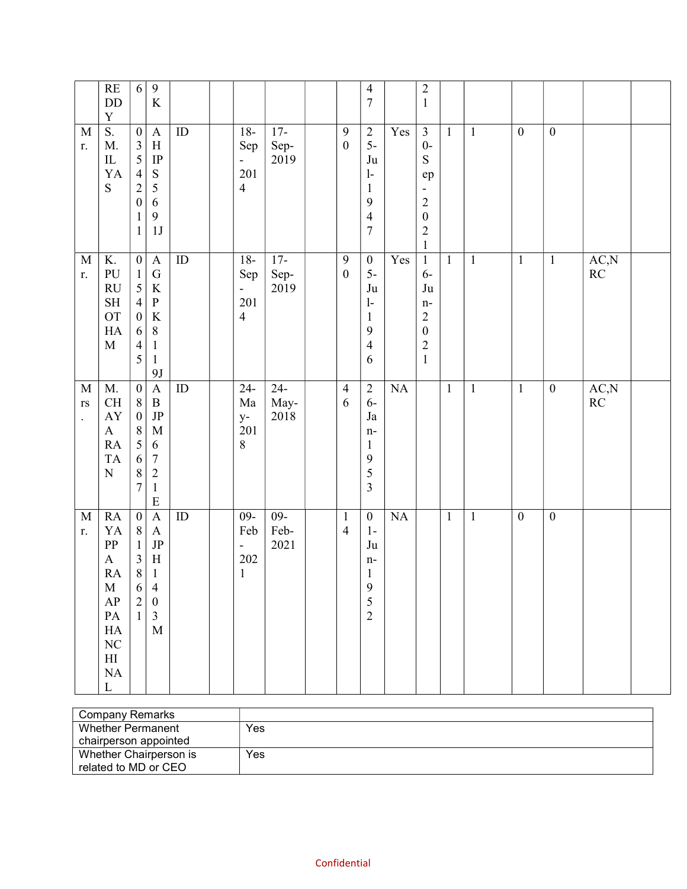|                                                               | RE<br>$\rm{DD}$<br>$\mathbf Y$                                                                                                                                  | $\sqrt{6}$                                                                                                                               | $\overline{9}$<br>$\rm K$                                                                                                                                 |                 |                                                                   |                        |                                  | $\overline{4}$<br>$\boldsymbol{7}$                                                           |                  | $\sqrt{2}$<br>$\mathbf{1}$                                                                                                                        |              |              |                  |                  |             |  |
|---------------------------------------------------------------|-----------------------------------------------------------------------------------------------------------------------------------------------------------------|------------------------------------------------------------------------------------------------------------------------------------------|-----------------------------------------------------------------------------------------------------------------------------------------------------------|-----------------|-------------------------------------------------------------------|------------------------|----------------------------------|----------------------------------------------------------------------------------------------|------------------|---------------------------------------------------------------------------------------------------------------------------------------------------|--------------|--------------|------------------|------------------|-------------|--|
| M<br>r.                                                       | S.<br>M.<br>$\rm IL$<br>YA<br>${\bf S}$                                                                                                                         | $\boldsymbol{0}$<br>$\overline{\mathbf{3}}$<br>5<br>$\overline{4}$<br>$\overline{2}$<br>$\boldsymbol{0}$<br>$\mathbf{1}$<br>$\mathbf{1}$ | $\boldsymbol{\mathsf{A}}$<br>$\, {\rm H}$<br>$\ensuremath{\mathsf{IP}}$<br>${\mathbf S}$<br>$\sqrt{5}$<br>$\sqrt{6}$<br>$\mathbf{9}$<br>1J                | ID              | $18-$<br>Sep<br>$\overline{\phantom{0}}$<br>201<br>$\overline{4}$ | $17-$<br>Sep-<br>2019  | $\boldsymbol{9}$<br>$\mathbf{0}$ | $rac{2}{5}$<br>Ju<br>$\mathbf{l}$<br>$\mathbf{1}$<br>9<br>$\overline{4}$<br>$\boldsymbol{7}$ | Yes              | $\mathfrak{Z}$<br>$0-$<br>${\bf S}$<br>ep<br>$\qquad \qquad \blacksquare$<br>$\overline{c}$<br>$\boldsymbol{0}$<br>$\overline{c}$<br>$\mathbf{1}$ | $\mathbf{1}$ | $\mathbf{1}$ | $\boldsymbol{0}$ | $\boldsymbol{0}$ |             |  |
| $\mathbf M$<br>r.                                             | $\overline{K}$ .<br>PU<br><b>RU</b><br>$\operatorname{SH}$<br><b>OT</b><br>HA<br>$\mathbf M$                                                                    | $\boldsymbol{0}$<br>$\mathbf 1$<br>5<br>$\overline{4}$<br>$\boldsymbol{0}$<br>6<br>$\overline{4}$<br>5                                   | $\mathbf A$<br>$\overline{G}$<br>$\bf K$<br>${\bf P}$<br>$\rm K$<br>$\,8\,$<br>$\mathbf{1}$<br>$\mathbf 1$<br>9J                                          | $\overline{ID}$ | $18-$<br>Sep<br>$\overline{\phantom{0}}$<br>201<br>$\overline{4}$ | $17-$<br>Sep-<br>2019  | $\overline{9}$<br>$\mathbf{0}$   | $\boldsymbol{0}$<br>$5-$<br>Ju<br>$\mathbf{1}$<br>$\mathbf{1}$<br>9<br>$\overline{4}$<br>6   | $\overline{Yes}$ | $\mathbf{1}$<br>$6-$<br>$\mathrm{Ju}$<br>$n-$<br>$\sqrt{2}$<br>$\boldsymbol{0}$<br>$\overline{c}$<br>$1\,$                                        | $\mathbf{1}$ | $\mathbf{1}$ | $\mathbf{1}$     | $\mathbf{1}$     | AC, N<br>RC |  |
| $\mathbf M$<br>$\mathbf{r}\mathbf{s}$<br>$\ddot{\phantom{0}}$ | M.<br>CH<br>${\rm AY}$<br>$\mathbf{A}$<br>RA<br><b>TA</b><br>${\bf N}$                                                                                          | $\boldsymbol{0}$<br>$8\,$<br>$\boldsymbol{0}$<br>$\,8\,$<br>5<br>6<br>$\,8\,$<br>$\boldsymbol{7}$                                        | $\boldsymbol{\mathsf{A}}$<br>$\, {\bf B}$<br>$\rm{JP}$<br>$\mathbf M$<br>6<br>$\boldsymbol{7}$<br>$\overline{c}$<br>$\,1\,$<br>$\mathbf E$                | $\overline{ID}$ | $\overline{24}$<br>Ma<br>$y-$<br>201<br>$\,8\,$                   | $24-$<br>May-<br>2018  | $\overline{4}$<br>6              | $\overline{2}$<br>$6-$<br>Ja<br>$n-$<br>$\mathbf{1}$<br>9<br>5<br>$\mathfrak{Z}$             | NA               |                                                                                                                                                   | $\mathbf{1}$ | $\mathbf{1}$ | $\mathbf{1}$     | $\boldsymbol{0}$ | AC, N<br>RC |  |
| $\mathbf M$<br>r.                                             | RA<br>YA<br>${\rm PP}$<br>$\mathbf{A}$<br>${\sf RA}$<br>$\mathbf M$<br>AP<br>$\mathbf{PA}$<br>HA<br>$\rm NC$<br>$\mathop{\rm HI}\nolimits$<br>NA<br>$\mathbf L$ | $\boldsymbol{0}$<br>$\,8\,$<br>$\,1$<br>$\overline{\mathbf{3}}$<br>$\,8\,$<br>6<br>$\sqrt{2}$<br>$\mathbf{1}$                            | $\boldsymbol{\rm{A}}$<br>$\mathbf{A}$<br>$\rm{JP}$<br>$\, {\rm H}$<br>$\mathbf{1}$<br>$\overline{4}$<br>$\boldsymbol{0}$<br>$\overline{3}$<br>$\mathbf M$ | $\overline{ID}$ | $09 -$<br>Feb<br>$\blacksquare$<br>202<br>$\mathbf{1}$            | $09 -$<br>Feb-<br>2021 | $\mathbf{1}$<br>$\overline{4}$   | $\boldsymbol{0}$<br>$1-$<br>Ju<br>$n-$<br>$\mathbf 1$<br>9<br>5<br>$\overline{2}$            | $\rm NA$         |                                                                                                                                                   | $\mathbf{1}$ | $\mathbf{1}$ | $\boldsymbol{0}$ | $\boldsymbol{0}$ |             |  |

| Company Remarks        |     |
|------------------------|-----|
| Whether Permanent      | Yes |
| chairperson appointed  |     |
| Whether Chairperson is | Yes |
| related to MD or CEO   |     |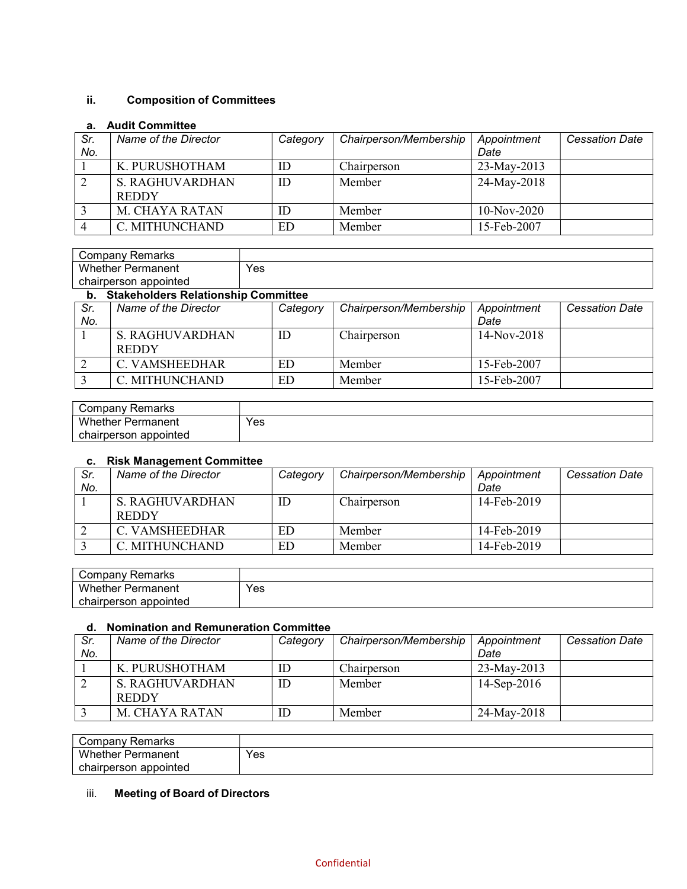## ii. Composition of Committees

### a. Audit Committee

| Sr. | Name of the Director | Category | Chairperson/Membership | Appointment   | <b>Cessation Date</b> |
|-----|----------------------|----------|------------------------|---------------|-----------------------|
| No. |                      |          |                        | Date          |                       |
|     | K. PURUSHOTHAM       | ID       | Chairperson            | 23-May-2013   |                       |
|     | S. RAGHUVARDHAN      | ID       | Member                 | 24-May-2018   |                       |
|     | <b>REDDY</b>         |          |                        |               |                       |
|     | M. CHAYA RATAN       | ID       | Member                 | $10-Nov-2020$ |                       |
|     | C. MITHUNCHAND       | ED       | Member                 | 15-Feb-2007   |                       |

| Remarks<br>∵ompanvٽ      |     |
|--------------------------|-----|
| Whether<br>Permanent     | Yes |
| chairperson<br>appointed |     |

#### b. Stakeholders Relationship Committee

|            | . .<br><u> Siminiisiusiu Tioimiisiisiin Soiiiiiiiiis</u> |          |                        |                     |                       |  |  |  |
|------------|----------------------------------------------------------|----------|------------------------|---------------------|-----------------------|--|--|--|
| Sr.<br>No. | Name of the Director                                     | Category | Chairperson/Membership | Appointment<br>Date | <b>Cessation Date</b> |  |  |  |
|            | S. RAGHUVARDHAN<br><b>REDDY</b>                          | ID       | Chairperson            | $14-Nov-2018$       |                       |  |  |  |
|            | C. VAMSHEEDHAR                                           | ED       | Member                 | 15-Feb-2007         |                       |  |  |  |
|            | C. MITHUNCHAND                                           | ED       | Member                 | 15-Feb-2007         |                       |  |  |  |

| ∵ompany ت<br>Remarks      |     |
|---------------------------|-----|
| Whether,<br>Permanent     | Yes |
| chairperson<br>≅appointed |     |

#### c. Risk Management Committee

| Sr.<br>No. | Name of the Director                   | Category | Chairperson/Membership | Appointment<br>Date | <b>Cessation Date</b> |
|------------|----------------------------------------|----------|------------------------|---------------------|-----------------------|
|            | <b>S. RAGHUVARDHAN</b><br><b>REDDY</b> | ID       | Chairperson            | 14-Feb-2019         |                       |
|            | C. VAMSHEEDHAR                         | ED       | Member                 | 14-Feb-2019         |                       |
|            | C. MITHUNCHAND                         | ED       | Member                 | 14-Feb-2019         |                       |

| ∵ompanyٽ<br>≺emarks        |     |
|----------------------------|-----|
| Whether<br>Permanent       | Yes |
| ו appointed<br>chairperson |     |

#### d. Nomination and Remuneration Committee

| Sr. | Name of the Director | Category | Chairperson/Membership | Appointment    | <b>Cessation Date</b> |
|-----|----------------------|----------|------------------------|----------------|-----------------------|
| No. |                      |          |                        | Date           |                       |
|     | K. PURUSHOTHAM       | ID       | Chairperson            | $23$ -May-2013 |                       |
|     | S. RAGHUVARDHAN      | ID       | Member                 | $14-Sep-2016$  |                       |
|     | <b>REDDY</b>         |          |                        |                |                       |
|     | M. CHAYA RATAN       | ΙD       | Member                 | 24-May-2018    |                       |

| Remarks<br>' ompany:     |     |
|--------------------------|-----|
| Whether<br>Permanent     | Yes |
| appointed<br>chairperson |     |

# iii. Meeting of Board of Directors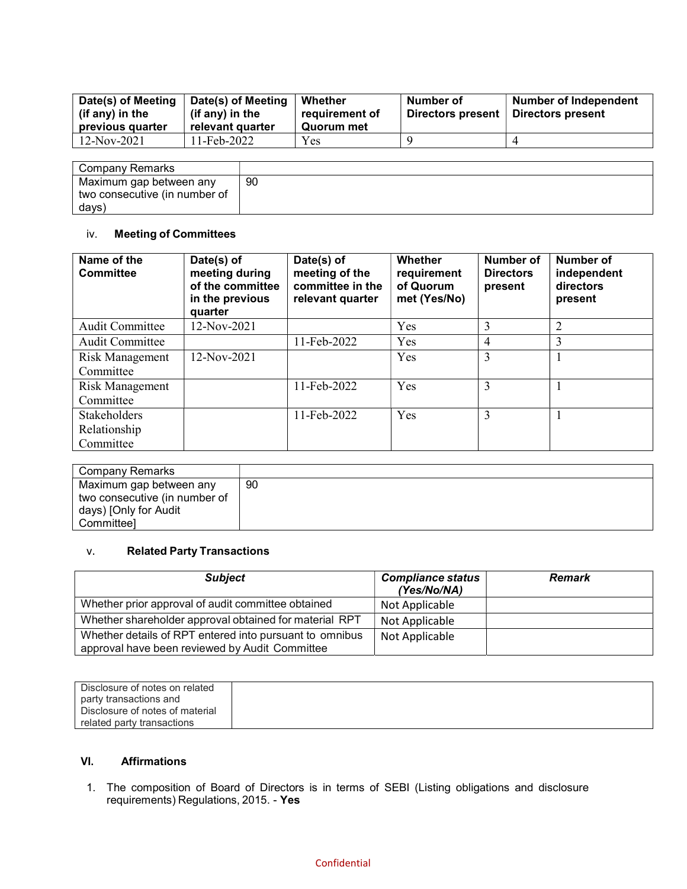| Date(s) of Meeting<br>(if any) in the<br>previous quarter | Date(s) of Meeting<br>(if any) in the<br>relevant quarter | Whether<br>requirement of<br>Quorum met | Number of<br>Directors present | <b>Number of Independent</b><br>Directors present |
|-----------------------------------------------------------|-----------------------------------------------------------|-----------------------------------------|--------------------------------|---------------------------------------------------|
| 12-Nov-2021                                               | l 1-Feb-2022                                              | Yes                                     |                                |                                                   |

| Company Remarks               |    |
|-------------------------------|----|
| Maximum gap between any       | 90 |
| two consecutive (in number of |    |
| days)                         |    |

## iv. Meeting of Committees

| Name of the<br><b>Committee</b>     | Date(s) of<br>meeting during<br>of the committee<br>in the previous<br>quarter | Date(s) of<br>meeting of the<br>committee in the<br>relevant quarter | Whether<br>requirement<br>of Quorum<br>met (Yes/No) | Number of<br><b>Directors</b><br>present | Number of<br>independent<br>directors<br>present |
|-------------------------------------|--------------------------------------------------------------------------------|----------------------------------------------------------------------|-----------------------------------------------------|------------------------------------------|--------------------------------------------------|
| Audit Committee                     | 12-Nov-2021                                                                    |                                                                      | Yes                                                 | 3                                        | $\overline{2}$                                   |
| <b>Audit Committee</b>              |                                                                                | 11-Feb-2022                                                          | Yes                                                 | $\overline{4}$                           | 3                                                |
| Risk Management<br>Committee        | 12-Nov-2021                                                                    |                                                                      | Yes                                                 | 3                                        |                                                  |
| Risk Management<br>Committee        |                                                                                | 11-Feb-2022                                                          | Yes                                                 | 3                                        |                                                  |
| <b>Stakeholders</b><br>Relationship |                                                                                | 11-Feb-2022                                                          | Yes                                                 | 3                                        |                                                  |
| Committee                           |                                                                                |                                                                      |                                                     |                                          |                                                  |

| Company Remarks                                                                                 |    |
|-------------------------------------------------------------------------------------------------|----|
| Maximum gap between any<br>two consecutive (in number of<br>days) [Only for Audit<br>Committeel | 90 |

# v. Related Party Transactions

| <b>Subject</b>                                                                                            | <b>Compliance status</b><br>(Yes/No/NA) | <b>Remark</b> |
|-----------------------------------------------------------------------------------------------------------|-----------------------------------------|---------------|
| Whether prior approval of audit committee obtained                                                        | Not Applicable                          |               |
| Whether shareholder approval obtained for material RPT                                                    | Not Applicable                          |               |
| Whether details of RPT entered into pursuant to omnibus<br>approval have been reviewed by Audit Committee | Not Applicable                          |               |

| Disclosure of notes on related  |  |
|---------------------------------|--|
| party transactions and          |  |
| Disclosure of notes of material |  |
| related party transactions      |  |

# VI. Affirmations

1. The composition of Board of Directors is in terms of SEBI (Listing obligations and disclosure requirements) Regulations, 2015. - Yes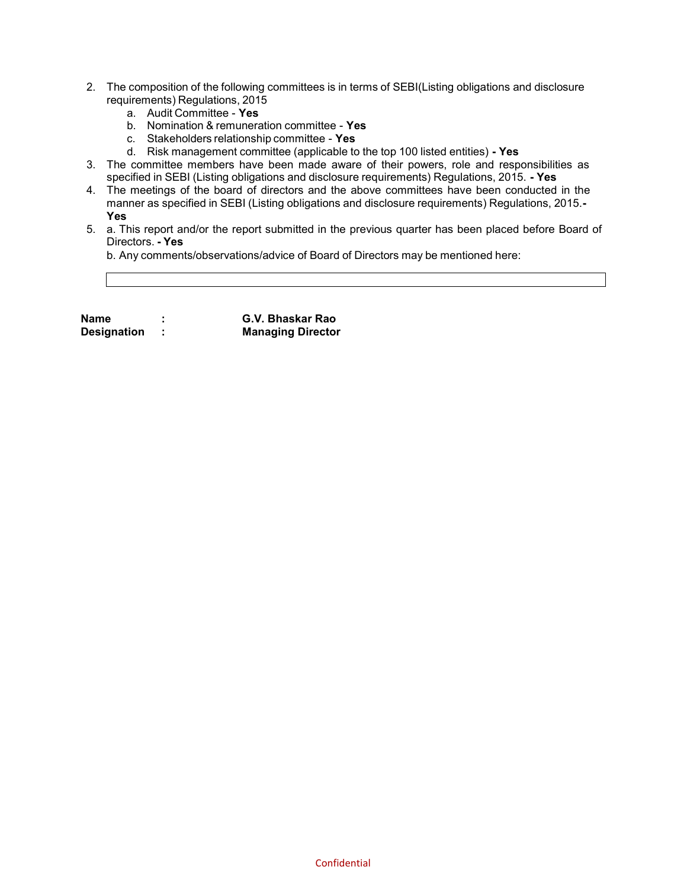- 2. The composition of the following committees is in terms of SEBI(Listing obligations and disclosure requirements) Regulations, 2015
	- a. Audit Committee Yes
	- b. Nomination & remuneration committee Yes
	- c. Stakeholders relationship committee Yes
	- d. Risk management committee (applicable to the top 100 listed entities) Yes
- 3. The committee members have been made aware of their powers, role and responsibilities as specified in SEBI (Listing obligations and disclosure requirements) Regulations, 2015. - Yes
- 4. The meetings of the board of directors and the above committees have been conducted in the manner as specified in SEBI (Listing obligations and disclosure requirements) Regulations, 2015.- Yes
- 5. a. This report and/or the report submitted in the previous quarter has been placed before Board of Directors. - Yes

b. Any comments/observations/advice of Board of Directors may be mentioned here:

Name : G.V. Bhaskar Rao Designation : Managing Director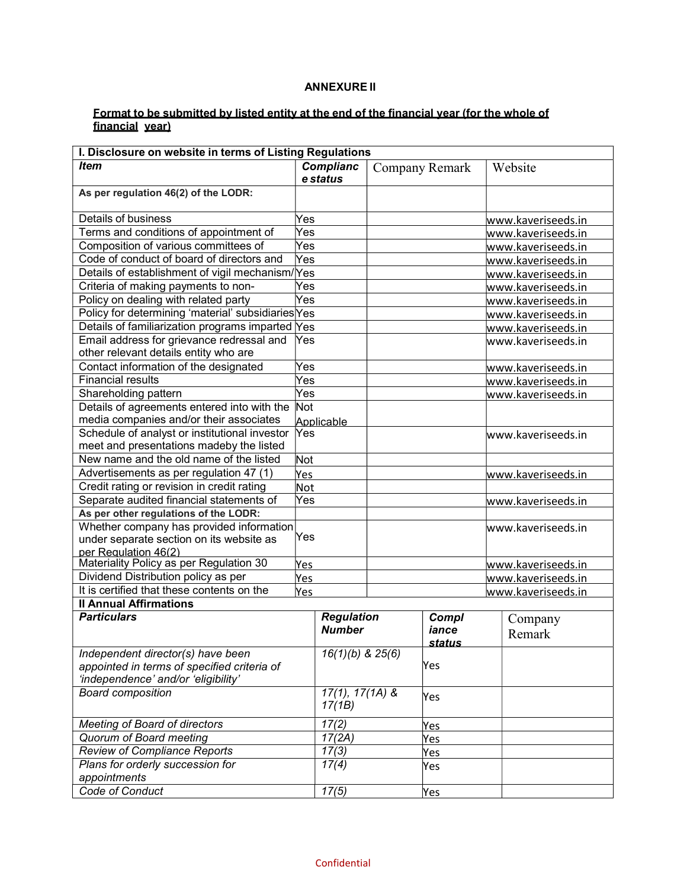### ANNEXURE II

#### Format to be submitted by listed entity at the end of the financial year (for the whole of financial year)

| I. Disclosure on website in terms of Listing Regulations                           |     |                             |     |                    |                    |                    |
|------------------------------------------------------------------------------------|-----|-----------------------------|-----|--------------------|--------------------|--------------------|
| <b>Item</b>                                                                        |     | <b>Complianc</b>            |     | Company Remark     |                    | Website            |
|                                                                                    |     | e status                    |     |                    |                    |                    |
| As per regulation 46(2) of the LODR:                                               |     |                             |     |                    |                    |                    |
| Details of business                                                                | Yes |                             |     |                    |                    | www.kaveriseeds.in |
| Terms and conditions of appointment of                                             | Yes |                             |     |                    |                    | www.kaveriseeds.in |
| Composition of various committees of                                               | Yes |                             |     |                    |                    | www.kaveriseeds.in |
| Code of conduct of board of directors and                                          | Yes |                             |     |                    |                    | www.kaveriseeds.in |
| Details of establishment of vigil mechanism/Yes                                    |     |                             |     |                    |                    | www.kaveriseeds.in |
| Criteria of making payments to non-                                                | Yes |                             |     |                    |                    | www.kaveriseeds.in |
| Policy on dealing with related party                                               | Yes |                             |     |                    |                    | www.kaveriseeds.in |
| Policy for determining 'material' subsidiaries Yes                                 |     |                             |     |                    |                    | www.kaveriseeds.in |
| Details of familiarization programs imparted Yes                                   |     |                             |     |                    |                    | www.kaveriseeds.in |
| Email address for grievance redressal and<br>other relevant details entity who are | Yes |                             |     |                    |                    | www.kaveriseeds.in |
| Contact information of the designated                                              | Yes |                             |     |                    |                    | www.kaveriseeds.in |
| <b>Financial results</b>                                                           | Yes |                             |     |                    |                    | www.kaveriseeds.in |
| Shareholding pattern                                                               | Yes |                             |     |                    |                    | www.kaveriseeds.in |
| Details of agreements entered into with the                                        | Not |                             |     |                    |                    |                    |
| media companies and/or their associates                                            |     | Applicable                  |     |                    |                    |                    |
| Schedule of analyst or institutional investor                                      | Yes |                             |     |                    |                    | www.kaveriseeds.in |
| meet and presentations madeby the listed                                           |     |                             |     |                    |                    |                    |
| New name and the old name of the listed                                            | Not |                             |     |                    |                    |                    |
| Advertisements as per regulation 47 (1)                                            | Yes |                             |     | www.kaveriseeds.in |                    |                    |
| Credit rating or revision in credit rating                                         | Not |                             |     |                    |                    |                    |
| Separate audited financial statements of                                           | Yes |                             |     |                    |                    | www.kaveriseeds.in |
| As per other regulations of the LODR:                                              |     |                             |     |                    |                    |                    |
| Whether company has provided information                                           |     |                             |     |                    |                    | www.kaveriseeds.in |
| under separate section on its website as                                           | Yes |                             |     |                    |                    |                    |
| per Regulation 46(2)                                                               |     |                             |     |                    |                    |                    |
| Materiality Policy as per Regulation 30                                            | Yes |                             |     |                    | www.kaveriseeds.in |                    |
| Dividend Distribution policy as per                                                | Yes |                             |     |                    | www.kaveriseeds.in |                    |
| It is certified that these contents on the                                         | Yes |                             |     |                    |                    | www.kaveriseeds.in |
| <b>Il Annual Affirmations</b>                                                      |     |                             |     |                    |                    |                    |
| <b>Particulars</b>                                                                 |     | <b>Regulation</b>           |     | Compl              |                    | Company            |
|                                                                                    |     | <b>Number</b>               |     | iance              |                    | Remark             |
|                                                                                    |     |                             |     | <u>status</u>      |                    |                    |
| Independent director(s) have been                                                  |     | $16(1)(b)$ & $25(6)$        |     | Yes                |                    |                    |
| appointed in terms of specified criteria of<br>'independence' and/or 'eligibility' |     |                             |     |                    |                    |                    |
|                                                                                    |     |                             |     |                    |                    |                    |
| <b>Board composition</b>                                                           |     | $17(1), 17(1A)$ &<br>17(1B) |     | Yes                |                    |                    |
| <b>Meeting of Board of directors</b>                                               |     | 17(2)                       | Yes |                    |                    |                    |
| Quorum of Board meeting                                                            |     | 17(2A)                      | Yes |                    |                    |                    |
| <b>Review of Compliance Reports</b>                                                |     | 17(3)                       |     | Yes                |                    |                    |
| Plans for orderly succession for                                                   |     | 17(4)                       |     | Yes                |                    |                    |
| appointments                                                                       |     |                             |     |                    |                    |                    |
| Code of Conduct                                                                    |     | 17(5)                       |     | <u>Yes</u>         |                    |                    |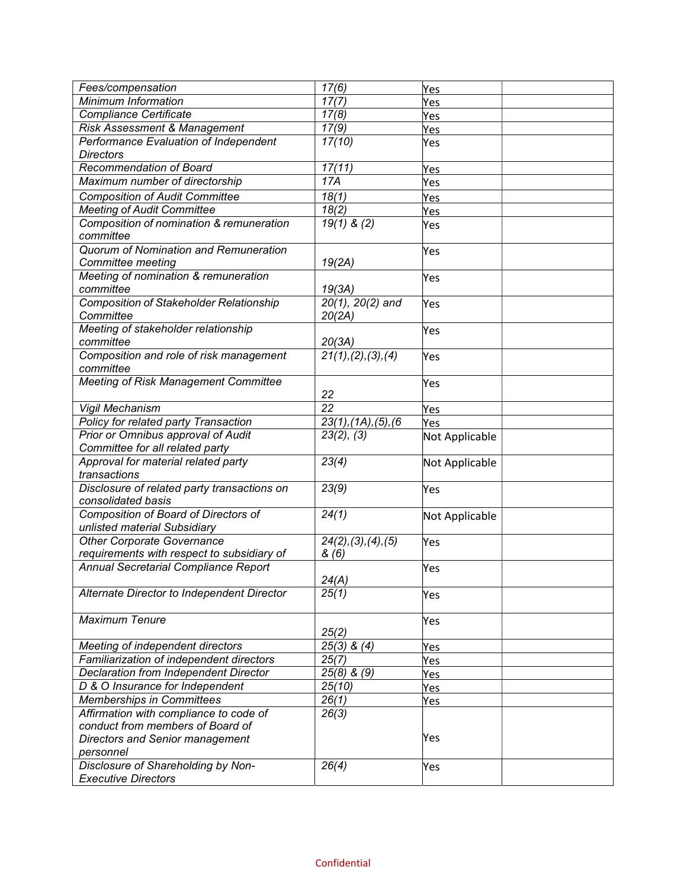| Fees/compensation                              | 17(6)                             | Yes            |  |
|------------------------------------------------|-----------------------------------|----------------|--|
| Minimum Information                            | 17(7)                             | Yes            |  |
| <b>Compliance Certificate</b>                  | 17(8)                             | Yes            |  |
| Risk Assessment & Management                   | 17(9)                             | Yes            |  |
| Performance Evaluation of Independent          | 17(10)                            | Yes            |  |
| <b>Directors</b>                               |                                   |                |  |
| Recommendation of Board                        | 17(11)                            | Yes            |  |
| Maximum number of directorship                 | 17A                               | Yes            |  |
| <b>Composition of Audit Committee</b>          | 18(1)                             | <b>Yes</b>     |  |
| <b>Meeting of Audit Committee</b>              | 18(2)                             | <b>Yes</b>     |  |
| Composition of nomination & remuneration       | $19(1)$ & (2)                     | Yes            |  |
| committee                                      |                                   |                |  |
| Quorum of Nomination and Remuneration          |                                   | Yes            |  |
| Committee meeting                              | 19(2A)                            |                |  |
| Meeting of nomination & remuneration           |                                   | Yes            |  |
| committee                                      | 19(3A)                            |                |  |
| <b>Composition of Stakeholder Relationship</b> | $20(1), 20(2)$ and                | Yes            |  |
| Committee                                      | 20(2A)                            |                |  |
| Meeting of stakeholder relationship            |                                   | Yes            |  |
| committee                                      | 20(3A)                            |                |  |
| Composition and role of risk management        | 21(1), (2), (3), (4)              | Yes            |  |
| committee                                      |                                   |                |  |
| <b>Meeting of Risk Management Committee</b>    |                                   | Yes            |  |
|                                                | 22                                |                |  |
| Vigil Mechanism                                | $\overline{22}$                   | Yes            |  |
| Policy for related party Transaction           | 23(1), (1A), (5), (6)             | Yes            |  |
| Prior or Omnibus approval of Audit             | 23(2), (3)                        | Not Applicable |  |
| Committee for all related party                |                                   |                |  |
| Approval for material related party            | 23(4)                             | Not Applicable |  |
| transactions                                   |                                   |                |  |
| Disclosure of related party transactions on    | 23(9)                             | Yes            |  |
| consolidated basis                             |                                   |                |  |
| Composition of Board of Directors of           | 24(1)                             | Not Applicable |  |
| unlisted material Subsidiary                   |                                   |                |  |
| <b>Other Corporate Governance</b>              | $\overline{24}(2), (3), (4), (5)$ | Yes            |  |
| requirements with respect to subsidiary of     | &(6)                              |                |  |
| Annual Secretarial Compliance Report           |                                   | Yes            |  |
|                                                | 24(A)                             |                |  |
| Alternate Director to Independent Director     | 25(1)                             | Yes            |  |
| <b>Maximum Tenure</b>                          |                                   |                |  |
|                                                | 25(2)                             | Yes            |  |
| Meeting of independent directors               | 25(3) & $\overline{(4)}$          |                |  |
| Familiarization of independent directors       | 25(7)                             | <b>Yes</b>     |  |
| Declaration from Independent Director          | $25(8)$ & $(9)$                   | Yes            |  |
| D & O Insurance for Independent                | 25(10)                            | Yes            |  |
| Memberships in Committees                      | 26(1)                             | Yes            |  |
| Affirmation with compliance to code of         | 26(3)                             | Yes            |  |
| conduct from members of Board of               |                                   |                |  |
| Directors and Senior management                |                                   | Yes            |  |
| personnel                                      |                                   |                |  |
| Disclosure of Shareholding by Non-             | 26(4)                             | Yes            |  |
| <b>Executive Directors</b>                     |                                   |                |  |